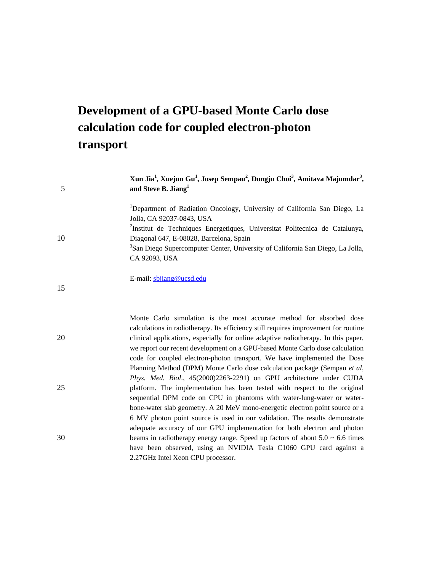# **Development of a GPU-based Monte Carlo dose calculation code for coupled electron-photon transport**

**Xun Jia<sup>1</sup> , Xuejun Gu<sup>1</sup> , Josep Sempau<sup>2</sup> , Dongju Choi<sup>3</sup> , Amitava Majumdar<sup>3</sup> , and Steve B. Jiang<sup>1</sup>** 5 <sup>1</sup>Department of Radiation Oncology, University of California San Diego, La Jolla, CA 92037-0843, USA <sup>2</sup>Institut de Techniques Energetiques, Universitat Politecnica de Catalunya, 10 Diagonal 647, E-08028, Barcelona, Spain 3 San Diego Supercomputer Center, University of California San Diego, La Jolla, CA 92093, USA E-mail: [sbjiang@ucsd.edu](mailto:sbjiang@ucsd.edu) 15 Monte Carlo simulation is the most accurate method for absorbed dose calculations in radiotherapy. Its efficiency still requires improvement for routine 20 clinical applications, especially for online adaptive radiotherapy. In this paper, we report our recent development on a GPU-based Monte Carlo dose calculation code for coupled electron-photon transport. We have implemented the Dose Planning Method (DPM) Monte Carlo dose calculation package (Sempau *et al*, *Phys. Med. Biol*., 45(2000)2263-2291) on GPU architecture under CUDA 25 platform. The implementation has been tested with respect to the original sequential DPM code on CPU in phantoms with water-lung-water or waterbone-water slab geometry. A 20 MeV mono-energetic electron point source or a 6 MV photon point source is used in our validation. The results demonstrate adequate accuracy of our GPU implementation for both electron and photon 30 beams in radiotherapy energy range. Speed up factors of about 5.0 ~ 6.6 times have been observed, using an NVIDIA Tesla C1060 GPU card against a

2.27GHz Intel Xeon CPU processor.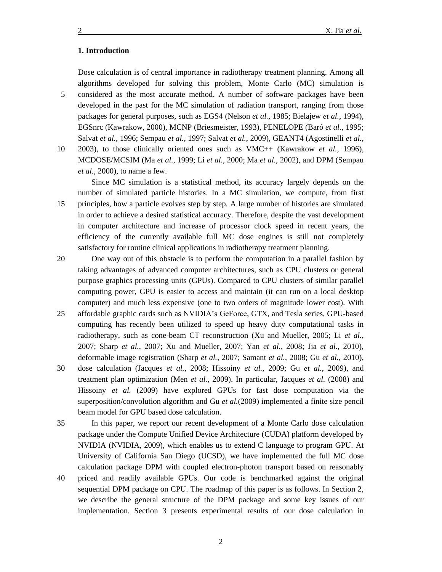### **1. Introduction**

Dose calculation is of central importance in radiotherapy treatment planning. Among all algorithms developed for solving this problem, Monte Carlo (MC) simulation is 5 considered as the most accurate method. A number of software packages have been developed in the past for the MC simulation of radiation transport, ranging from those packages for general purposes, such as EGS4 (Nelson *et al.*, 1985; Bielajew *et al.*, 1994), EGSnrc (Kawrakow, 2000), MCNP (Briesmeister, 1993), PENELOPE (Baró*et al.*, 1995; Salvat *et al.*, 1996; Sempau *et al.*, 1997; Salvat *et al.*, 2009), GEANT4 (Agostinelli *et al.*,

10 2003), to those clinically oriented ones such as VMC++ (Kawrakow *et al.*, 1996), MCDOSE/MCSIM (Ma *et al.*, 1999; Li *et al.*, 2000; Ma *et al.*, 2002), and DPM (Sempau *et al.*, 2000), to name a few.

Since MC simulation is a statistical method, its accuracy largely depends on the number of simulated particle histories. In a MC simulation, we compute, from first 15 principles, how a particle evolves step by step. A large number of histories are simulated in order to achieve a desired statistical accuracy. Therefore, despite the vast development in computer architecture and increase of processor clock speed in recent years, the efficiency of the currently available full MC dose engines is still not completely satisfactory for routine clinical applications in radiotherapy treatment planning.

20 One way out of this obstacle is to perform the computation in a parallel fashion by taking advantages of advanced computer architectures, such as CPU clusters or general purpose graphics processing units (GPUs). Compared to CPU clusters of similar parallel computing power, GPU is easier to access and maintain (it can run on a local desktop computer) and much less expensive (one to two orders of magnitude lower cost). With

- 25 affordable graphic cards such as NVIDIA's GeForce, GTX, and Tesla series, GPU-based computing has recently been utilized to speed up heavy duty computational tasks in radiotherapy, such as cone-beam CT reconstruction (Xu and Mueller, 2005; Li *et al.*, 2007; Sharp *et al.*, 2007; Xu and Mueller, 2007; Yan *et al.*, 2008; Jia *et al.*, 2010), deformable image registration (Sharp *et al.*, 2007; Samant *et al.*, 2008; Gu *et al.*, 2010),
- 30 dose calculation (Jacques *et al.*, 2008; Hissoiny *et al.*, 2009; Gu *et al.*, 2009), and treatment plan optimization (Men *et al.*, 2009). In particular, Jacques *et al.* (2008) and Hissoiny *et al.* (2009) have explored GPUs for fast dose computation via the superposition/convolution algorithm and Gu *et al.*(2009) implemented a finite size pencil beam model for GPU based dose calculation.
- 35 In this paper, we report our recent development of a Monte Carlo dose calculation package under the Compute Unified Device Architecture (CUDA) platform developed by NVIDIA (NVIDIA, 2009), which enables us to extend C language to program GPU. At University of California San Diego (UCSD), we have implemented the full MC dose calculation package DPM with coupled electron-photon transport based on reasonably 40 priced and readily available GPUs. Our code is benchmarked against the original
- sequential DPM package on CPU. The roadmap of this paper is as follows. In Section 2, we describe the general structure of the DPM package and some key issues of our implementation. Section 3 presents experimental results of our dose calculation in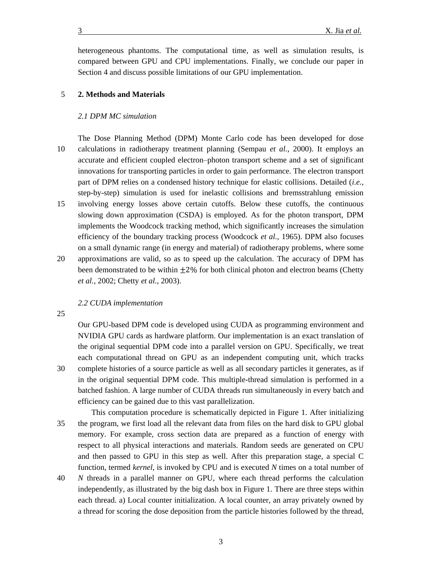heterogeneous phantoms. The computational time, as well as simulation results, is compared between GPU and CPU implementations. Finally, we conclude our paper in Section 4 and discuss possible limitations of our GPU implementation.

## 5 **2. Methods and Materials**

#### *2.1 DPM MC simulation*

- The Dose Planning Method (DPM) Monte Carlo code has been developed for dose 10 calculations in radiotherapy treatment planning (Sempau *et al.*, 2000). It employs an accurate and efficient coupled electron–photon transport scheme and a set of significant innovations for transporting particles in order to gain performance. The electron transport part of DPM relies on a condensed history technique for elastic collisions. Detailed (*i.e.*, step-by-step) simulation is used for inelastic collisions and bremsstrahlung emission 15 involving energy losses above certain cutoffs. Below these cutoffs, the continuous slowing down approximation (CSDA) is employed. As for the photon transport, DPM
- implements the Woodcock tracking method, which significantly increases the simulation efficiency of the boundary tracking process (Woodcock *et al.*, 1965). DPM also focuses on a small dynamic range (in energy and material) of radiotherapy problems, where some 20 approximations are valid, so as to speed up the calculation. The accuracy of DPM has
- been demonstrated to be within  $\pm 2\%$  for both clinical photon and electron beams (Chetty *et al.*, 2002; Chetty *et al.*, 2003).

#### *2.2 CUDA implementation*

25

Our GPU-based DPM code is developed using CUDA as programming environment and NVIDIA GPU cards as hardware platform. Our implementation is an exact translation of the original sequential DPM code into a parallel version on GPU. Specifically, we treat each computational thread on GPU as an independent computing unit, which tracks 30 complete histories of a source particle as well as all secondary particles it generates, as if in the original sequential DPM code. This multiple-thread simulation is performed in a batched fashion. A large number of CUDA threads run simultaneously in every batch and efficiency can be gained due to this vast parallelization.

This computation procedure is schematically depicted in Figure 1. After initializing 35 the program, we first load all the relevant data from files on the hard disk to GPU global memory. For example, cross section data are prepared as a function of energy with respect to all physical interactions and materials. Random seeds are generated on CPU and then passed to GPU in this step as well. After this preparation stage, a special C function, termed *kernel*, is invoked by CPU and is executed *N* times on a total number of

40 *N* threads in a parallel manner on GPU, where each thread performs the calculation independently, as illustrated by the big dash box in Figure 1. There are three steps within each thread. a) Local counter initialization. A local counter, an array privately owned by a thread for scoring the dose deposition from the particle histories followed by the thread,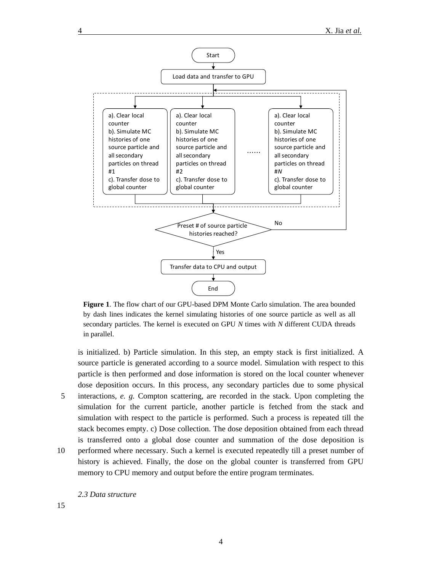

**Figure 1**. The flow chart of our GPU-based DPM Monte Carlo simulation. The area bounded by dash lines indicates the kernel simulating histories of one source particle as well as all secondary particles. The kernel is executed on GPU *N* times with *N* different CUDA threads in parallel.

is initialized. b) Particle simulation. In this step, an empty stack is first initialized. A source particle is generated according to a source model. Simulation with respect to this particle is then performed and dose information is stored on the local counter whenever dose deposition occurs. In this process, any secondary particles due to some physical 5 interactions, *e. g.* Compton scattering, are recorded in the stack. Upon completing the

- simulation for the current particle, another particle is fetched from the stack and simulation with respect to the particle is performed. Such a process is repeated till the stack becomes empty. c) Dose collection. The dose deposition obtained from each thread is transferred onto a global dose counter and summation of the dose deposition is
- 10 performed where necessary. Such a kernel is executed repeatedly till a preset number of history is achieved. Finally, the dose on the global counter is transferred from GPU memory to CPU memory and output before the entire program terminates.

*2.3 Data structure*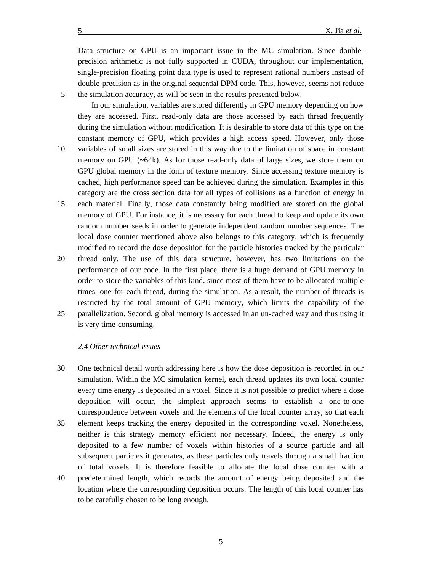Data structure on GPU is an important issue in the MC simulation. Since doubleprecision arithmetic is not fully supported in CUDA, throughout our implementation, single-precision floating point data type is used to represent rational numbers instead of double-precision as in the original sequential DPM code. This, however, seems not reduce 5 the simulation accuracy, as will be seen in the results presented below.

In our simulation, variables are stored differently in GPU memory depending on how they are accessed. First, read-only data are those accessed by each thread frequently during the simulation without modification. It is desirable to store data of this type on the constant memory of GPU, which provides a high access speed. However, only those 10 variables of small sizes are stored in this way due to the limitation of space in constant

- memory on GPU (~64k). As for those read-only data of large sizes, we store them on GPU global memory in the form of texture memory. Since accessing texture memory is cached, high performance speed can be achieved during the simulation. Examples in this category are the cross section data for all types of collisions as a function of energy in
- 15 each material. Finally, those data constantly being modified are stored on the global memory of GPU. For instance, it is necessary for each thread to keep and update its own random number seeds in order to generate independent random number sequences. The local dose counter mentioned above also belongs to this category, which is frequently modified to record the dose deposition for the particle histories tracked by the particular
- 20 thread only. The use of this data structure, however, has two limitations on the performance of our code. In the first place, there is a huge demand of GPU memory in order to store the variables of this kind, since most of them have to be allocated multiple times, one for each thread, during the simulation. As a result, the number of threads is restricted by the total amount of GPU memory, which limits the capability of the 25 parallelization. Second, global memory is accessed in an un-cached way and thus using it
	- is very time-consuming.

#### *2.4 Other technical issues*

30 One technical detail worth addressing here is how the dose deposition is recorded in our simulation. Within the MC simulation kernel, each thread updates its own local counter every time energy is deposited in a voxel. Since it is not possible to predict where a dose deposition will occur, the simplest approach seems to establish a one-to-one correspondence between voxels and the elements of the local counter array, so that each 35 element keeps tracking the energy deposited in the corresponding voxel. Nonetheless, neither is this strategy memory efficient nor necessary. Indeed, the energy is only deposited to a few number of voxels within histories of a source particle and all subsequent particles it generates, as these particles only travels through a small fraction of total voxels. It is therefore feasible to allocate the local dose counter with a 40 predetermined length, which records the amount of energy being deposited and the location where the corresponding deposition occurs. The length of this local counter has to be carefully chosen to be long enough.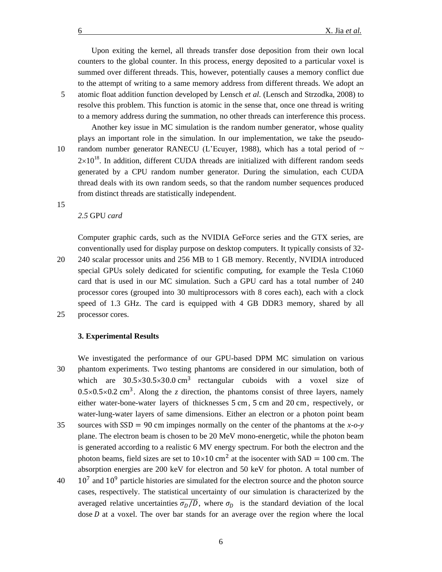Upon exiting the kernel, all threads transfer dose deposition from their own local counters to the global counter. In this process, energy deposited to a particular voxel is summed over different threads. This, however, potentially causes a memory conflict due to the attempt of writing to a same memory address from different threads. We adopt an 5 atomic float addition function developed by [Lensch](http://www.mpi-inf.mpg.de/~lensch/) *et al.* (Lensch and Strzodka, 2008) to resolve this problem. This function is atomic in the sense that, once one thread is writing to a memory address during the summation, no other threads can interference this process.

Another key issue in MC simulation is the random number generator, whose quality plays an important role in the simulation. In our implementation, we take the pseudo-10 random number generator RANECU (L'Ecuyer, 1988), which has a total period of  $\sim$  $2\times10^{18}$ . In addition, different CUDA threads are initialized with different random seeds generated by a CPU random number generator. During the simulation, each CUDA thread deals with its own random seeds, so that the random number sequences produced from distinct threads are statistically independent.

15

*2.5* GPU *card*

Computer graphic cards, such as the NVIDIA GeForce series and the GTX series, are conventionally used for display purpose on desktop computers. It typically consists of 32- 20 240 scalar processor units and 256 MB to 1 GB memory. Recently, NVIDIA introduced special GPUs solely dedicated for scientific computing, for example the Tesla C1060 card that is used in our MC simulation. Such a GPU card has a total number of 240 processor cores (grouped into 30 multiprocessors with 8 cores each), each with a clock speed of 1.3 GHz. The card is equipped with 4 GB DDR3 memory, shared by all 25 processor cores.

#### **3. Experimental Results**

We investigated the performance of our GPU-based DPM MC simulation on various 30 phantom experiments. Two testing phantoms are considered in our simulation, both of which are  $30.5 \times 30.5 \times 30.0$  cm<sup>3</sup> rectangular cuboids with a voxel size of  $0.5 \times 0.5 \times 0.2$  cm<sup>3</sup>. Along the *z* direction, the phantoms consist of three layers, namely either water-bone-water layers of thicknesses 5 cm, 5 cm and 20 cm, respectively, or water-lung-water layers of same dimensions. Either an electron or a photon point beam 35 sources with SSD = 90 cm impinges normally on the center of the phantoms at the *x-o-y* plane. The electron beam is chosen to be 20 MeV mono-energetic, while the photon beam is generated according to a realistic 6 MV energy spectrum. For both the electron and the photon beams, field sizes are set to  $10 \times 10$  cm<sup>2</sup> at the isocenter with SAD = 100 cm. The absorption energies are 200 keV for electron and 50 keV for photon. A total number of  $10^7$  and  $10^9$  particle histories are simulated for the electron source and the photon source cases, respectively. The statistical uncertainty of our simulation is characterized by the averaged relative uncertainties  $\overline{\sigma_D/D}$ , where  $\sigma_D$  is the standard deviation of the local

dose  $D$  at a voxel. The over bar stands for an average over the region where the local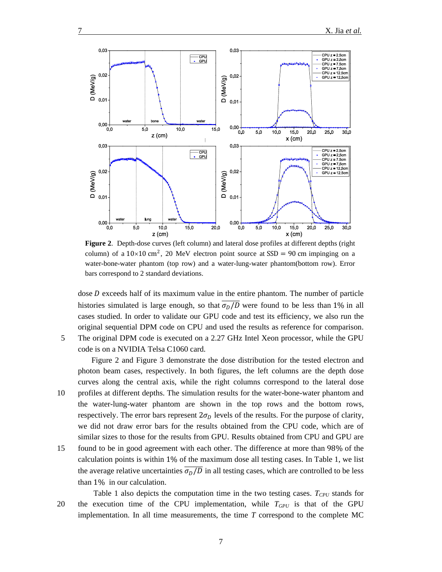

**Figure 2**. Depth-dose curves (left column) and lateral dose profiles at different depths (right column) of a  $10\times10$  cm<sup>2</sup>, 20 MeV electron point source at SSD = 90 cm impinging on a water-bone-water phantom (top row) and a water-lung-water phantom(bottom row). Error bars correspond to 2 standard deviations.

dose  $D$  exceeds half of its maximum value in the entire phantom. The number of particle histories simulated is large enough, so that  $\overline{\sigma_D/D}$  were found to be less than 1% in all cases studied. In order to validate our GPU code and test its efficiency, we also run the original sequential DPM code on CPU and used the results as reference for comparison. 5 The original DPM code is executed on a 2.27 GHz Intel Xeon processor, while the GPU code is on a NVIDIA Telsa C1060 card.

Figure 2 and Figure 3 demonstrate the dose distribution for the tested electron and photon beam cases, respectively. In both figures, the left columns are the depth dose curves along the central axis, while the right columns correspond to the lateral dose 10 profiles at different depths. The simulation results for the water-bone-water phantom and the water-lung-water phantom are shown in the top rows and the bottom rows, respectively. The error bars represent  $2\sigma_p$  levels of the results. For the purpose of clarity, we did not draw error bars for the results obtained from the CPU code, which are of similar sizes to those for the results from GPU. Results obtained from CPU and GPU are

15 found to be in good agreement with each other. The difference at more than 98% of the calculation points is within 1% of the maximum dose all testing cases. In Table 1, we list the average relative uncertainties  $\overline{\sigma_D/D}$  in all testing cases, which are controlled to be less than 1% in our calculation.

Table 1 also depicts the computation time in the two testing cases. *TCPU* stands for 20 the execution time of the CPU implementation, while *TGPU* is that of the GPU implementation. In all time measurements, the time *T* correspond to the complete MC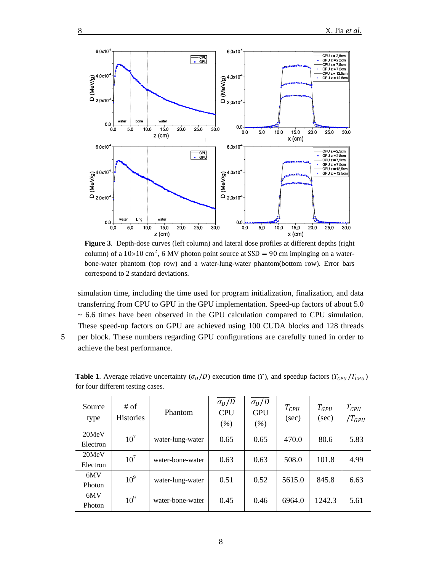

**Figure 3**. Depth-dose curves (left column) and lateral dose profiles at different depths (right column) of a  $10\times10$  cm<sup>2</sup>, 6 MV photon point source at SSD = 90 cm impinging on a waterbone-water phantom (top row) and a water-lung-water phantom(bottom row). Error bars correspond to 2 standard deviations.

simulation time, including the time used for program initialization, finalization, and data transferring from CPU to GPU in the GPU implementation. Speed-up factors of about 5.0 ~ 6.6 times have been observed in the GPU calculation compared to CPU simulation. These speed-up factors on GPU are achieved using 100 CUDA blocks and 128 threads 5 per block. These numbers regarding GPU configurations are carefully tuned in order to achieve the best performance.

| Source<br>type    | # of<br><b>Histories</b> | Phantom          | $\overline{\sigma_D/D}$<br><b>CPU</b><br>$\left( \frac{o}{o} \right)$ | $\overline{\sigma_D/D}$<br><b>GPU</b><br>(%) | $T_{CPU}$<br>(sec) | $T_{GPU}$<br>(sec) | $T_{CPU}$<br>$T_{GPU}$ |
|-------------------|--------------------------|------------------|-----------------------------------------------------------------------|----------------------------------------------|--------------------|--------------------|------------------------|
| 20MeV<br>Electron | 10 <sup>7</sup>          | water-lung-water | 0.65                                                                  | 0.65                                         | 470.0              | 80.6               | 5.83                   |
| 20MeV<br>Electron | 10 <sup>7</sup>          | water-bone-water | 0.63                                                                  | 0.63                                         | 508.0              | 101.8              | 4.99                   |
| 6MV<br>Photon     | 10 <sup>9</sup>          | water-lung-water | 0.51                                                                  | 0.52                                         | 5615.0             | 845.8              | 6.63                   |
| 6MV<br>Photon     | 10 <sup>9</sup>          | water-bone-water | 0.45                                                                  | 0.46                                         | 6964.0             | 1242.3             | 5.61                   |

**Table 1**. Average relative uncertainty  $(\sigma_D/D)$  execution time (T), and speedup factors ( $T_{CPU}/T_{GPU}$ ) for four different testing cases.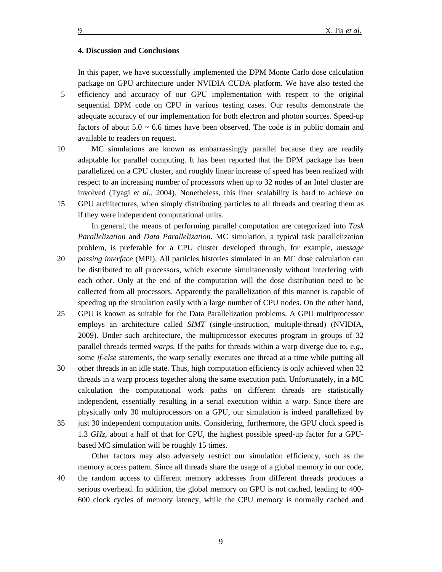#### **4. Discussion and Conclusions**

In this paper, we have successfully implemented the DPM Monte Carlo dose calculation package on GPU architecture under NVIDIA CUDA platform. We have also tested the 5 efficiency and accuracy of our GPU implementation with respect to the original sequential DPM code on CPU in various testing cases. Our results demonstrate the adequate accuracy of our implementation for both electron and photon sources. Speed-up factors of about  $5.0 \sim 6.6$  times have been observed. The code is in public domain and available to readers on request.

10 MC simulations are known as embarrassingly parallel because they are readily adaptable for parallel computing. It has been reported that the DPM package has been parallelized on a CPU cluster, and roughly linear increase of speed has been realized with respect to an increasing number of processors when up to 32 nodes of an Intel cluster are involved (Tyagi *et al.*, 2004). Nonetheless, this liner scalability is hard to achieve on 15 GPU architectures, when simply distributing particles to all threads and treating them as

if they were independent computational units.

In general, the means of performing parallel computation are categorized into *Task Parallelization* and *Data Parallelization*. MC simulation, a typical task parallelization problem, is preferable for a CPU cluster developed through, for example, *message* 

- 20 *passing interface* (MPI). All particles histories simulated in an MC dose calculation can be distributed to all processors, which execute simultaneously without interfering with each other. Only at the end of the computation will the dose distribution need to be collected from all processors. Apparently the parallelization of this manner is capable of speeding up the simulation easily with a large number of CPU nodes. On the other hand,
- 25 GPU is known as suitable for the Data Parallelization problems. A GPU multiprocessor employs an architecture called *SIMT* (single-instruction, multiple-thread) (NVIDIA, 2009). Under such architecture, the multiprocessor executes program in groups of 32 parallel threads termed *warps.* If the paths for threads within a warp diverge due to, *e.g.*, some *if-else* statements, the warp serially executes one thread at a time while putting all
- 30 other threads in an idle state. Thus, high computation efficiency is only achieved when 32 threads in a warp process together along the same execution path. Unfortunately, in a MC calculation the computational work paths on different threads are statistically independent, essentially resulting in a serial execution within a warp. Since there are physically only 30 multiprocessors on a GPU, our simulation is indeed parallelized by
- 35 just 30 independent computation units. Considering, furthermore, the GPU clock speed is 1.3 *GHz*, about a half of that for CPU, the highest possible speed-up factor for a GPUbased MC simulation will be roughly 15 times.

Other factors may also adversely restrict our simulation efficiency, such as the memory access pattern. Since all threads share the usage of a global memory in our code, 40 the random access to different memory addresses from different threads produces a serious overhead. In addition, the global memory on GPU is not cached, leading to 400- 600 clock cycles of memory latency, while the CPU memory is normally cached and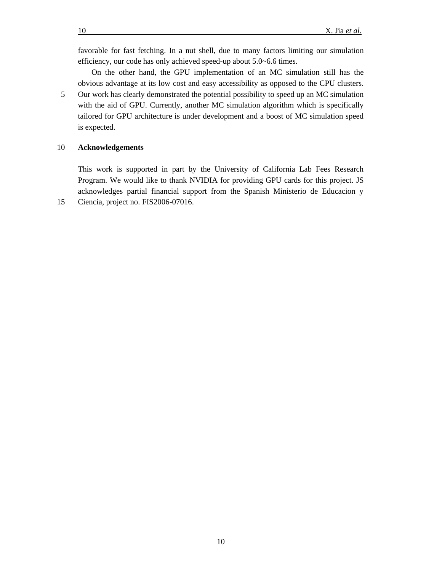favorable for fast fetching. In a nut shell, due to many factors limiting our simulation efficiency, our code has only achieved speed-up about 5.0~6.6 times.

On the other hand, the GPU implementation of an MC simulation still has the obvious advantage at its low cost and easy accessibility as opposed to the CPU clusters. 5 Our work has clearly demonstrated the potential possibility to speed up an MC simulation with the aid of GPU. Currently, another MC simulation algorithm which is specifically tailored for GPU architecture is under development and a boost of MC simulation speed is expected.

# 10 **Acknowledgements**

This work is supported in part by the University of California Lab Fees Research Program. We would like to thank NVIDIA for providing GPU cards for this project. JS acknowledges partial financial support from the Spanish Ministerio de Educacion y 15 Ciencia, project no. FIS2006-07016.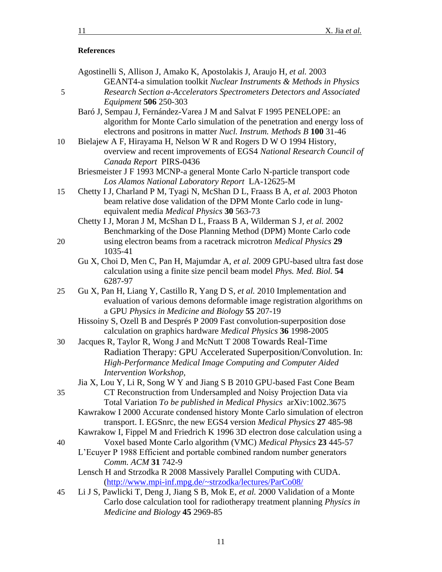# **References**

|    | Agostinelli S, Allison J, Amako K, Apostolakis J, Araujo H, et al. 2003                        |
|----|------------------------------------------------------------------------------------------------|
|    | GEANT4-a simulation toolkit Nuclear Instruments & Methods in Physics                           |
| 5  | Research Section a-Accelerators Spectrometers Detectors and Associated                         |
|    | Equipment 506 250-303                                                                          |
|    | Bar ó J, Sempau J, Fern ández-Varea J M and Salvat F 1995 PENELOPE: an                         |
|    | algorithm for Monte Carlo simulation of the penetration and energy loss of                     |
|    | electrons and positrons in matter Nucl. Instrum. Methods B 100 31-46                           |
| 10 | Bielajew A F, Hirayama H, Nelson W R and Rogers D W O 1994 History,                            |
|    | overview and recent improvements of EGS4 National Research Council of                          |
|    | Canada Report PIRS-0436                                                                        |
|    | Briesmeister J F 1993 MCNP-a general Monte Carlo N-particle transport code                     |
|    | Los Alamos National Laboratory Report LA-12625-M                                               |
| 15 | Chetty I J, Charland P M, Tyagi N, McShan D L, Fraass B A, et al. 2003 Photon                  |
|    | beam relative dose validation of the DPM Monte Carlo code in lung-                             |
|    | equivalent media Medical Physics 30 563-73                                                     |
|    | Chetty I J, Moran J M, McShan D L, Fraass B A, Wilderman S J, et al. 2002                      |
|    | Benchmarking of the Dose Planning Method (DPM) Monte Carlo code                                |
| 20 | using electron beams from a racetrack microtron Medical Physics 29                             |
|    | 1035-41                                                                                        |
|    | Gu X, Choi D, Men C, Pan H, Majumdar A, et al. 2009 GPU-based ultra fast dose                  |
|    | calculation using a finite size pencil beam model Phys. Med. Biol. 54                          |
|    | 6287-97                                                                                        |
| 25 | Gu X, Pan H, Liang Y, Castillo R, Yang D S, et al. 2010 Implementation and                     |
|    | evaluation of various demons deformable image registration algorithms on                       |
|    | a GPU Physics in Medicine and Biology 55 207-19                                                |
|    | Hissoiny S, Ozell B and Despr $\&$ P 2009 Fast convolution-superposition dose                  |
|    | calculation on graphics hardware Medical Physics 36 1998-2005                                  |
| 30 | Jacques R, Taylor R, Wong J and McNutt T 2008 Towards Real-Time                                |
|    | Radiation Therapy: GPU Accelerated Superposition/Convolution. In:                              |
|    | High-Performance Medical Image Computing and Computer Aided                                    |
|    | Intervention Workshop,                                                                         |
|    | Jia X, Lou Y, Li R, Song W Y and Jiang S B 2010 GPU-based Fast Cone Beam                       |
| 35 | CT Reconstruction from Undersampled and Noisy Projection Data via                              |
|    | Total Variation To be published in Medical Physics arXiv:1002.3675                             |
|    | Kawrakow I 2000 Accurate condensed history Monte Carlo simulation of electron                  |
|    | transport. I. EGSnrc, the new EGS4 version Medical Physics 27 485-98                           |
|    | Kawrakow I, Fippel M and Friedrich K 1996 3D electron dose calculation using a                 |
| 40 | Voxel based Monte Carlo algorithm (VMC) Medical Physics 23 445-57                              |
|    | L'Ecuyer P 1988 Efficient and portable combined random number generators<br>Comm. ACM 31 742-9 |
|    | Lensch H and Strzodka R 2008 Massively Parallel Computing with CUDA.                           |
|    | (http://www.mpi-inf.mpg.de/~strzodka/lectures/ParCo08/                                         |
| 45 | Li J S, Pawlicki T, Deng J, Jiang S B, Mok E, et al. 2000 Validation of a Monte                |
|    | Carlo dose calculation tool for radiotherapy treatment planning Physics in                     |
|    | Medicine and Biology 45 2969-85                                                                |
|    |                                                                                                |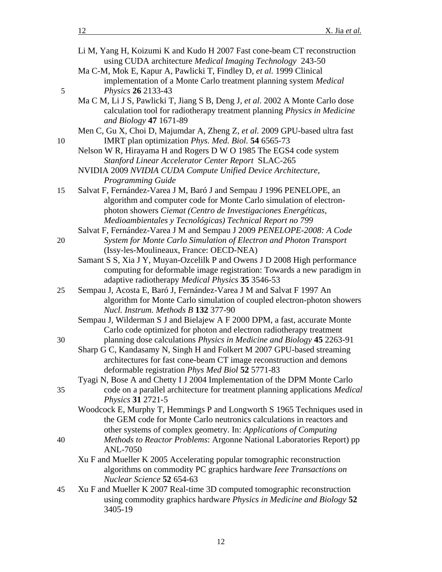|                | Li M, Yang H, Koizumi K and Kudo H 2007 Fast cone-beam CT reconstruction      |
|----------------|-------------------------------------------------------------------------------|
|                | using CUDA architecture Medical Imaging Technology 243-50                     |
|                | Ma C-M, Mok E, Kapur A, Pawlicki T, Findley D, et al. 1999 Clinical           |
|                | implementation of a Monte Carlo treatment planning system Medical             |
| $\mathfrak{S}$ | Physics 26 2133-43                                                            |
|                | Ma C M, Li J S, Pawlicki T, Jiang S B, Deng J, et al. 2002 A Monte Carlo dose |
|                | calculation tool for radiotherapy treatment planning Physics in Medicine      |
|                | and Biology 47 1671-89                                                        |
|                | Men C, Gu X, Choi D, Majumdar A, Zheng Z, et al. 2009 GPU-based ultra fast    |
| 10             | IMRT plan optimization <i>Phys. Med. Biol.</i> 54 6565-73                     |
|                | Nelson W R, Hirayama H and Rogers D W O 1985 The EGS4 code system             |
|                | <b>Stanford Linear Accelerator Center Report SLAC-265</b>                     |
|                | NVIDIA 2009 NVIDIA CUDA Compute Unified Device Architecture,                  |
|                | <b>Programming Guide</b>                                                      |
| 15             | Salvat F, Fern ández-Varea J M, Bar ó J and Sempau J 1996 PENELOPE, an        |
|                | algorithm and computer code for Monte Carlo simulation of electron-           |
|                | photon showers Ciemat (Centro de Investigaciones Energéticas,                 |
|                | Medioambientales y Tecnol ógicas) Technical Report no 799                     |
|                | Salvat F, Fern ández-Varea J M and Sempau J 2009 PENELOPE-2008: A Code        |
| 20             | System for Monte Carlo Simulation of Electron and Photon Transport            |
|                | (Issy-les-Moulineaux, France: OECD-NEA)                                       |
|                | Samant S S, Xia J Y, Muyan-Ozcelilk P and Owens J D 2008 High performance     |
|                | computing for deformable image registration: Towards a new paradigm in        |
|                | adaptive radiotherapy Medical Physics 35 3546-53                              |
| 25             | Sempau J, Acosta E, Baró J, Fern ández-Varea J M and Salvat F 1997 An         |
|                | algorithm for Monte Carlo simulation of coupled electron-photon showers       |
|                | Nucl. Instrum. Methods B 132 377-90                                           |
|                | Sempau J, Wilderman S J and Bielajew A F 2000 DPM, a fast, accurate Monte     |
|                | Carlo code optimized for photon and electron radiotherapy treatment           |
| 30             | planning dose calculations Physics in Medicine and Biology 45 2263-91         |
|                | Sharp G C, Kandasamy N, Singh H and Folkert M 2007 GPU-based streaming        |
|                | architectures for fast cone-beam CT image reconstruction and demons           |
|                | deformable registration Phys Med Biol 52 5771-83                              |
|                | Tyagi N, Bose A and Chetty I J 2004 Implementation of the DPM Monte Carlo     |
| 35             | code on a parallel architecture for treatment planning applications Medical   |
|                | Physics 31 2721-5                                                             |
|                | Woodcock E, Murphy T, Hemmings P and Longworth S 1965 Techniques used in      |
|                | the GEM code for Monte Carlo neutronics calculations in reactors and          |
|                | other systems of complex geometry. In: Applications of Computing              |
| 40             | Methods to Reactor Problems: Argonne National Laboratories Report) pp         |
|                | <b>ANL-7050</b>                                                               |
|                | Xu F and Mueller K 2005 Accelerating popular tomographic reconstruction       |
|                | algorithms on commodity PC graphics hardware Ieee Transactions on             |
|                | Nuclear Science 52 654-63                                                     |
| 45             | Xu F and Mueller K 2007 Real-time 3D computed tomographic reconstruction      |
|                | using commodity graphics hardware Physics in Medicine and Biology 52          |
|                | 3405-19                                                                       |
|                |                                                                               |